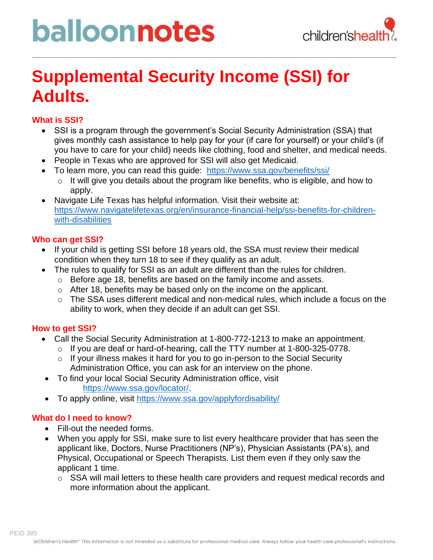# balloonnotes



### **Supplemental Security Income (SSI) for Adults.**

#### **What is SSI?**

- SSI is a program through the government's Social Security Administration (SSA) that gives monthly cash assistance to help pay for your (if care for yourself) or your child's (if you have to care for your child) needs like clothing, food and shelter, and medical needs.
- People in Texas who are approved for SSI will also get Medicaid.
- To learn more, you can read this guide: <https://www.ssa.gov/benefits/ssi/>
	- o It will give you details about the program like benefits, who is eligible, and how to apply.
- Navigate Life Texas has helpful information. Visit their website at: [https://www.navigatelifetexas.org/en/insurance-financial-help/ssi-benefits-for-children](https://www.navigatelifetexas.org/en/insurance-financial-help/ssi-benefits-for-children-with-disabilities)[with-disabilities](https://www.navigatelifetexas.org/en/insurance-financial-help/ssi-benefits-for-children-with-disabilities)

#### **Who can get SSI?**

- If your child is getting SSI before 18 years old, the SSA must review their medical condition when they turn 18 to see if they qualify as an adult.
- The rules to qualify for SSI as an adult are different than the rules for children.
	- o Before age 18, benefits are based on the family income and assets.
	- o After 18, benefits may be based only on the income on the applicant.
	- $\circ$  The SSA uses different medical and non-medical rules, which include a focus on the ability to work, when they decide if an adult can get SSI.

#### **How to get SSI?**

- Call the Social Security Administration at 1-800-772-1213 to make an appointment.
	- $\circ$  If you are deaf or hard-of-hearing, call the TTY number at 1-800-325-0778.
	- $\circ$  If your illness makes it hard for you to go in-person to the Social Security Administration Office, you can ask for an interview on the phone.
- To find your local Social Security Administration office, visit [https://www.ssa.gov/locator/.](https://www.ssa.gov/locator/)
- To apply online, visit<https://www.ssa.gov/applyfordisability/>

#### **What do I need to know?**

- Fill-out the needed forms.
- When you apply for SSI, make sure to list every healthcare provider that has seen the applicant like, Doctors, Nurse Practitioners (NP's), Physician Assistants (PA's), and Physical, Occupational or Speech Therapists. List them even if they only saw the applicant 1 time.
	- o SSA will mail letters to these health care providers and request medical records and more information about the applicant.